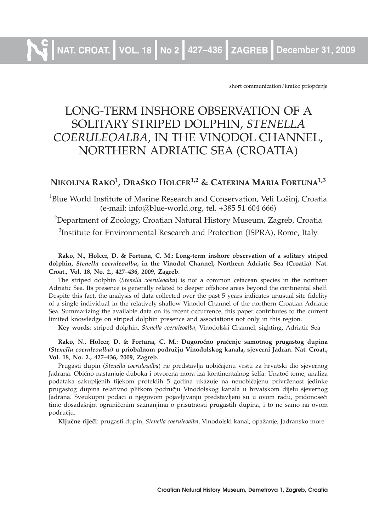**NAT. CROAT. VOL. 18 No 2 427–436 ZAGREB December 31, 2009**

short communication/kratko priopćenje

# LONG-TERM INSHORE OBSERVATION OF A SOLITARY STRIPED DOLPHIN, *STENELLA COERULEOALBA*, IN THE VINODOL CHANNEL, NORTHERN ADRIATIC SEA (CROATIA)

## **NIKOLINA RAKO1, DRAŠKO HOLCER1,2 & CATERINA MARIA FORTUNA1,3**

<sup>1</sup>Blue World Institute of Marine Research and Conservation, Veli Lošinj, Croatia (e-mail: info@blue-world.org, tel. +385 51 604 666)

 $^{2}$ Department of Zoology, Croatian Natural History Museum, Zagreb, Croatia  $3$ Institute for Environmental Research and Protection (ISPRA), Rome, Italy

#### **Rako, N., Holcer, D. & Fortuna, C. M.: Long-term inshore observation of a solitary striped dolphin,** *Stenella coeruleoalba***, in the Vinodol Channel, Northern Adriatic Sea (Croatia). Nat. Croat., Vol. 18, No. 2., 427–436, 2009, Zagreb.**

The striped dolphin (*Stenella coeruleoalba*) is not a common cetacean species in the northern Adriatic Sea. Its presence is generally related to deeper offshore areas beyond the continental shelf. Despite this fact, the analysis of data collected over the past 5 years indicates unusual site fidelity of a single individual in the relatively shallow Vinodol Channel of the northern Croatian Adriatic Sea. Summarizing the available data on its recent occurrence, this paper contributes to the current limited knowledge on striped dolphin presence and associations not only in this region.

**Key words**: striped dolphin, *Stenella coeruleoalba*, Vinodolski Channel, sighting, Adriatic Sea

Rako, N., Holcer, D. & Fortuna, C. M.: Dugoročno praćenje samotnog prugastog dupina **(***Stenella coeruleoalba***) u priobalnom podru~ju Vinodolskog kanala, sjeverni Jadran. Nat. Croat., Vol. 18, No. 2., 427–436, 2009, Zagreb.**

Prugasti dupin (*Stenella coeruleoalba*) ne predstavlja uobičajenu vrstu za hrvatski dio sjevernog Jadrana. Obično nastanjuje duboka i otvorena mora iza kontinentalnog šelfa. Unatoč tome, analiza podataka sakupljenih tijekom proteklih 5 godina ukazuje na neuobičajenu privrženost jedinke prugastog dupina relativno plitkom području Vinodolskog kanala u hrvatskom dijelu sjevernog Jadrana. Sveukupni podaci o njegovom pojavljivanju predstavljeni su u ovom radu, pridonoseći time dosadašnjm ograničenim saznanjima o prisutnosti prugastih dupina, i to ne samo na ovom području.

**Klju~ne rije~i**: prugasti dupin, *Stenella coeruleoalba*, Vinodolski kanal, opa`anje, Jadransko more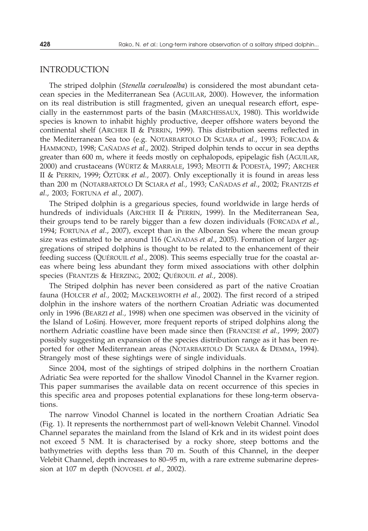#### INTRODUCTION

The striped dolphin (*Stenella coeruleoalba*) is considered the most abundant cetacean species in the Mediterranean Sea (AGUILAR, 2000). However, the information on its real distribution is still fragmented, given an unequal research effort, especially in the easternmost parts of the basin (MARCHESSAUX, 1980). This worldwide species is known to inhabit highly productive, deeper offshore waters beyond the continental shelf (ARCHER II & PERRIN, 1999). This distribution seems reflected in the Mediterranean Sea too (e.g. NOTARBARTOLO DI SCIARA *et al.,* 1993; FORCADA & HAMMOND, 1998; CAÑADAS *et al*., 2002). Striped dolphin tends to occur in sea depths greater than 600 m, where it feeds mostly on cephalopods, epipelagic fish (AGUILAR, 2000) and crustaceans (WÜRTZ & MARRALE, 1993; MEOTTI & PODESTÀ, 1997; ARCHER II & PERRIN, 1999; ÖZTÜRK *et al.,* 2007). Only exceptionally it is found in areas less than 200 m (NOTARBARTOLO DI SCIARA *et al.,* 1993; CAÑADAS *et al*., 2002; FRANTZIS *et al*., 2003; FORTUNA *et al.*, 2007).

The Striped dolphin is a gregarious species, found worldwide in large herds of hundreds of individuals (ARCHER II & PERRIN, 1999). In the Mediterranean Sea, their groups tend to be rarely bigger than a few dozen individuals (FORCADA *et al.*, 1994; FORTUNA *et al*., 2007), except than in the Alboran Sea where the mean group size was estimated to be around 116 (CAÑADAS *et al*., 2005). Formation of larger aggregations of striped dolphins is thought to be related to the enhancement of their feeding success (QUÉROUIL *et al.*, 2008). This seems especially true for the coastal areas where being less abundant they form mixed associations with other dolphin species (FRANTZIS & HERZING, 2002; QUÉROUIL *et al.*, 2008).

The Striped dolphin has never been considered as part of the native Croatian fauna (HOLCER *et al.,* 2002; MACKELWORTH *et al.,* 2002). The first record of a striped dolphin in the inshore waters of the northern Croatian Adriatic was documented only in 1996 (BEARZI *et al.,* 1998) when one specimen was observed in the vicinity of the Island of Lošinj. However, more frequent reports of striped dolphins along the northern Adriatic coastline have been made since then (FRANCESE *et al.,* 1999; 2007) possibly suggesting an expansion of the species distribution range as it has been reported for other Mediterranean areas (NOTARBARTOLO DI SCIARA & DEMMA, 1994). Strangely most of these sightings were of single individuals.

Since 2004, most of the sightings of striped dolphins in the northern Croatian Adriatic Sea were reported for the shallow Vinodol Channel in the Kvarner region. This paper summarises the available data on recent occurrence of this species in this specific area and proposes potential explanations for these long-term observations.

The narrow Vinodol Channel is located in the northern Croatian Adriatic Sea (Fig. 1). It represents the northernmost part of well-known Velebit Channel. Vinodol Channel separates the mainland from the Island of Krk and in its widest point does not exceed 5 NM. It is characterised by a rocky shore, steep bottoms and the bathymetries with depths less than 70 m. South of this Channel, in the deeper Velebit Channel, depth increases to 80–95 m, with a rare extreme submarine depression at 107 m depth (NOVOSEL *et al.,* 2002).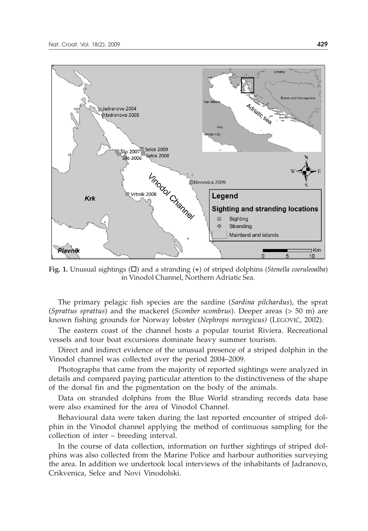

**Fig. 1.** Unusual sightings ( $\square$ ) and a stranding (+) of striped dolphins (*Stenella coeruleoalba*) in Vinodol Channel, Northern Adriatic Sea.

The primary pelagic fish species are the sardine (*Sardina pilchardus*), the sprat (*Sprattus sprattus*) and the mackerel (*Scomber scombrus*). Deeper areas (> 50 m) are known fishing grounds for Norway lobster (*Nephrops norvegicus*) (LEGOVIĆ, 2002).

The eastern coast of the channel hosts a popular tourist Riviera. Recreational vessels and tour boat excursions dominate heavy summer tourism.

Direct and indirect evidence of the unusual presence of a striped dolphin in the Vinodol channel was collected over the period 2004–2009.

Photographs that came from the majority of reported sightings were analyzed in details and compared paying particular attention to the distinctiveness of the shape of the dorsal fin and the pigmentation on the body of the animals.

Data on stranded dolphins from the Blue World stranding records data base were also examined for the area of Vinodol Channel.

Behavioural data were taken during the last reported encounter of striped dolphin in the Vinodol channel applying the method of continuous sampling for the collection of inter – breeding interval.

In the course of data collection, information on further sightings of striped dolphins was also collected from the Marine Police and harbour authorities surveying the area. In addition we undertook local interviews of the inhabitants of Jadranovo, Crikvenica, Selce and Novi Vinodolski.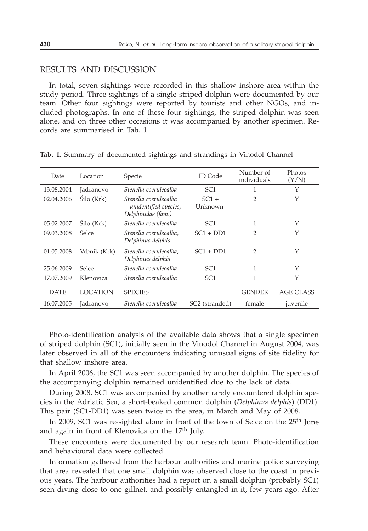### RESULTS AND DISCUSSION

In total, seven sightings were recorded in this shallow inshore area within the study period. Three sightings of a single striped dolphin were documented by our team. Other four sightings were reported by tourists and other NGOs, and included photographs. In one of these four sightings, the striped dolphin was seen alone, and on three other occasions it was accompanied by another specimen. Records are summarised in Tab. 1.

| Date        | Location        | Specie                                                                 | <b>ID</b> Code             | Number of<br>individuals | Photos<br>(Y/N) |
|-------------|-----------------|------------------------------------------------------------------------|----------------------------|--------------------------|-----------------|
| 13.08.2004  | Jadranovo       | Stenella coeruleoalba                                                  | SC <sub>1</sub>            | 1                        | Y               |
| 02.04.2006  | Šilo (Krk)      | Stenella coeruleoalba<br>+ unidentified species,<br>Delphinidae (fam.) | $SC1 +$<br>Unknown         | $\overline{2}$           | Y               |
| 05.02.2007  | Šilo (Krk)      | Stenella coeruleoalba                                                  | SC <sub>1</sub>            | 1                        | Y               |
| 09.03.2008  | Selce           | Stenella coeruleoalba,<br>Delphinus delphis                            | $SC1 + DD1$                | 2                        | Y               |
| 01.05.2008  | Vrbnik (Krk)    | Stenella coeruleoalba.<br>Delphinus delphis                            | $SC1 + DD1$                | 2                        | Y               |
| 25.06.2009  | Selce           | Stenella coeruleoalba                                                  | SC <sub>1</sub>            | 1                        | Y               |
| 17.07.2009  | Klenovica       | Stenella coeruleoalba                                                  | SC <sub>1</sub>            | 1                        | Y               |
| <b>DATE</b> | <b>LOCATION</b> | <b>SPECIES</b>                                                         |                            | <b>GENDER</b>            | AGE CLASS       |
| 16.07.2005  | Jadranovo       | Stenella coeruleoalba                                                  | SC <sub>2</sub> (stranded) | female                   | juvenile        |

**Tab. 1.** Summary of documented sightings and strandings in Vinodol Channel

Photo-identification analysis of the available data shows that a single specimen of striped dolphin (SC1), initially seen in the Vinodol Channel in August 2004, was later observed in all of the encounters indicating unusual signs of site fidelity for that shallow inshore area.

In April 2006, the SC1 was seen accompanied by another dolphin. The species of the accompanying dolphin remained unidentified due to the lack of data.

During 2008, SC1 was accompanied by another rarely encountered dolphin species in the Adriatic Sea, a short-beaked common dolphin (*Delphinus delphis*) (DD1). This pair (SC1-DD1) was seen twice in the area, in March and May of 2008.

In 2009, SC1 was re-sighted alone in front of the town of Selce on the 25<sup>th</sup> June and again in front of Klenovica on the 17<sup>th</sup> July.

These encounters were documented by our research team. Photo-identification and behavioural data were collected.

Information gathered from the harbour authorities and marine police surveying that area revealed that one small dolphin was observed close to the coast in previous years. The harbour authorities had a report on a small dolphin (probably SC1) seen diving close to one gillnet, and possibly entangled in it, few years ago. After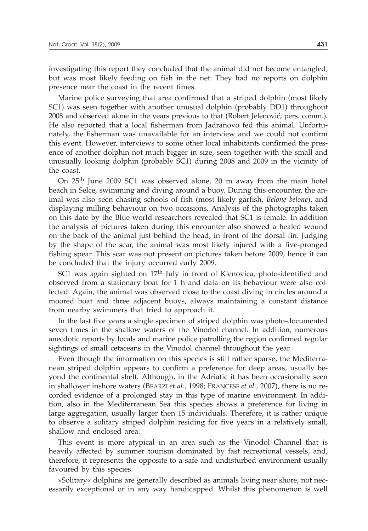investigating this report they concluded that the animal did not become entangled, but was most likely feeding on fish in the net. They had no reports on dolphin presence near the coast in the recent times.

Marine police surveying that area confirmed that a striped dolphin (most likely SC1) was seen together with another unusual dolphin (probably DD1) throughout 2008 and observed alone in the years previous to that (Robert Jelenović, pers. comm.). He also reported that a local fisherman from Jadranovo fed this animal. Unfortunately, the fisherman was unavailable for an interview and we could not confirm this event. However, interviews to some other local inhabitants confirmed the presence of another dolphin not much bigger in size, seen together with the small and unusually looking dolphin (probably SC1) during 2008 and 2009 in the vicinity of the coast.

On 25th June 2009 SC1 was observed alone, 20 m away from the main hotel beach in Selce, swimming and diving around a buoy. During this encounter, the animal was also seen chasing schools of fish (most likely garfish, *Belone belone*), and displaying milling behaviour on two occasions. Analysis of the photographs taken on this date by the Blue world researchers revealed that SC1 is female. In addition the analysis of pictures taken during this encounter also showed a healed wound on the back of the animal just behind the head, in front of the dorsal fin. Judging by the shape of the scar, the animal was most likely injured with a five-pronged fishing spear. This scar was not present on pictures taken before 2009, hence it can be concluded that the injury occurred early 2009.

SC1 was again sighted on 17<sup>th</sup> July in front of Klenovica, photo-identified and observed from a stationary boat for 1 h and data on its behaviour were also collected. Again, the animal was observed close to the coast diving in circles around a moored boat and three adjacent buoys, always maintaining a constant distance from nearby swimmers that tried to approach it.

In the last five years a single specimen of striped dolphin was photo-documented seven times in the shallow waters of the Vinodol channel. In addition, numerous anecdotic reports by locals and marine police patrolling the region confirmed regular sightings of small cetaceans in the Vinodol channel throughout the year.

Even though the information on this species is still rather sparse, the Mediterranean striped dolphin appears to confirm a preference for deep areas, usually beyond the continental shelf. Although, in the Adriatic it has been occasionally seen in shallower inshore waters (BEARZI *et al.,* 1998; FRANCESE *et al.*, 2007), there is no recorded evidence of a prolonged stay in this type of marine environment. In addition, also in the Mediterranean Sea this species shows a preference for living in large aggregation, usually larger then 15 individuals. Therefore, it is rather unique to observe a solitary striped dolphin residing for five years in a relatively small, shallow and enclosed area.

This event is more atypical in an area such as the Vinodol Channel that is heavily affected by summer tourism dominated by fast recreational vessels, and, therefore, it represents the opposite to a safe and undisturbed environment usually favoured by this species.

»Solitary« dolphins are generally described as animals living near shore, not necessarily exceptional or in any way handicapped. Whilst this phenomenon is well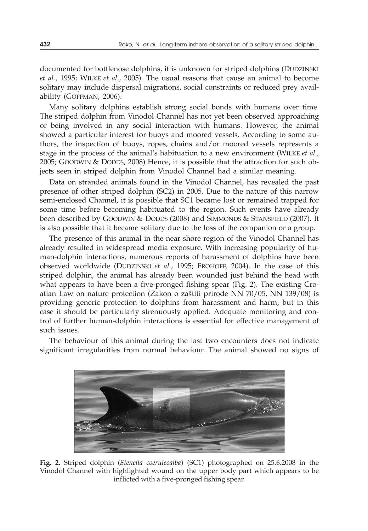documented for bottlenose dolphins, it is unknown for striped dolphins (DUDZINSKI *et al.*, 1995; WILKE *et al*., 2005). The usual reasons that cause an animal to become solitary may include dispersal migrations, social constraints or reduced prey availability (GOFFMAN, 2006).

Many solitary dolphins establish strong social bonds with humans over time. The striped dolphin from Vinodol Channel has not yet been observed approaching or being involved in any social interaction with humans. However, the animal showed a particular interest for buoys and moored vessels. According to some authors, the inspection of buoys, ropes, chains and/or moored vessels represents a stage in the process of the animal's habituation to a new environment (WILKE *et al.,* 2005; GOODWIN & DODDS, 2008) Hence, it is possible that the attraction for such objects seen in striped dolphin from Vinodol Channel had a similar meaning.

Data on stranded animals found in the Vinodol Channel, has revealed the past presence of other striped dolphin (SC2) in 2005. Due to the nature of this narrow semi-enclosed Channel, it is possible that SC1 became lost or remained trapped for some time before becoming habituated to the region. Such events have already been described by GOODWIN & DODDS (2008) and SIMMONDS & STANSFIELD (2007). It is also possible that it became solitary due to the loss of the companion or a group.

The presence of this animal in the near shore region of the Vinodol Channel has already resulted in widespread media exposure. With increasing popularity of human-dolphin interactions, numerous reports of harassment of dolphins have been observed worldwide (DUDZINSKI *et al*., 1995; FROHOFF, 2004). In the case of this striped dolphin, the animal has already been wounded just behind the head with what appears to have been a five-pronged fishing spear (Fig. 2). The existing Croatian Law on nature protection (Zakon o zaštiti prirode NN  $70/05$ , NN  $139/08$ ) is providing generic protection to dolphins from harassment and harm, but in this case it should be particularly strenuously applied. Adequate monitoring and control of further human-dolphin interactions is essential for effective management of such issues.

The behaviour of this animal during the last two encounters does not indicate significant irregularities from normal behaviour. The animal showed no signs of



**Fig. 2.** Striped dolphin (*Stenella coeruleoalba*) (SC1) photographed on 25.6.2008 in the Vinodol Channel with highlighted wound on the upper body part which appears to be inflicted with a five-pronged fishing spear.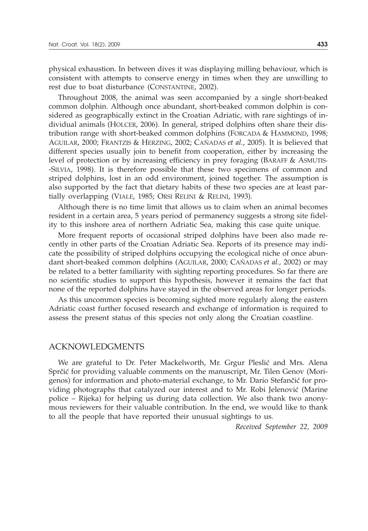physical exhaustion. In between dives it was displaying milling behaviour, which is consistent with attempts to conserve energy in times when they are unwilling to rest due to boat disturbance (CONSTANTINE, 2002).

Throughout 2008, the animal was seen accompanied by a single short-beaked common dolphin. Although once abundant, short-beaked common dolphin is considered as geographically extinct in the Croatian Adriatic, with rare sightings of individual animals (HOLCER, 2006). In general, striped dolphins often share their distribution range with short-beaked common dolphins (FORCADA & HAMMOND, 1998; AGUILAR, 2000; FRANTZIS & HERZING, 2002; CAÑADAS *et al*., 2005). It is believed that different species usually join to benefit from cooperation, either by increasing the level of protection or by increasing efficiency in prey foraging (BARAFF & ASMUTIS- -SILVIA, 1998). It is therefore possible that these two specimens of common and striped dolphins, lost in an odd environment, joined together. The assumption is also supported by the fact that dietary habits of these two species are at least partially overlapping (VIALE, 1985; ORSI RELINI & RELINI, 1993).

Although there is no time limit that allows us to claim when an animal becomes resident in a certain area, 5 years period of permanency suggests a strong site fidelity to this inshore area of northern Adriatic Sea, making this case quite unique.

More frequent reports of occasional striped dolphins have been also made recently in other parts of the Croatian Adriatic Sea. Reports of its presence may indicate the possibility of striped dolphins occupying the ecological niche of once abundant short-beaked common dolphins (AGUILAR, 2000; CAÑADAS *et al.,* 2002) or may be related to a better familiarity with sighting reporting procedures. So far there are no scientific studies to support this hypothesis, however it remains the fact that none of the reported dolphins have stayed in the observed areas for longer periods.

As this uncommon species is becoming sighted more regularly along the eastern Adriatic coast further focused research and exchange of information is required to assess the present status of this species not only along the Croatian coastline.

#### ACKNOWLEDGMENTS

We are grateful to Dr. Peter Mackelworth, Mr. Grgur Pleslić and Mrs. Alena Sprčić for providing valuable comments on the manuscript, Mr. Tilen Genov (Morigenos) for information and photo-material exchange, to Mr. Dario Stefančić for providing photographs that catalyzed our interest and to Mr. Robi Jelenović (Marine police – Rijeka) for helping us during data collection. We also thank two anonymous reviewers for their valuable contribution. In the end, we would like to thank to all the people that have reported their unusual sightings to us.

*Received September 22, 2009*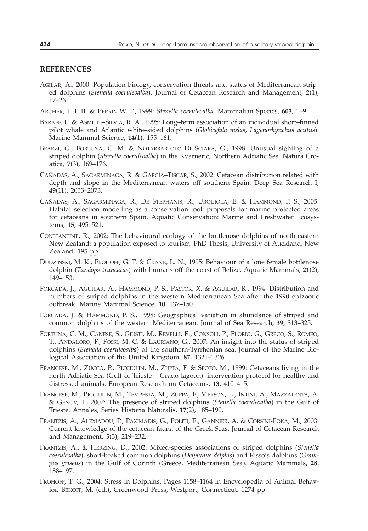#### **REFERENCES**

- AGILAR, A., 2000: Population biology, conservation threats and status of Mediterranean striped dolphins (*Stenella coeruleoalba*). Journal of Cetacean Research and Management, **2**(1), 17–26.
- ARCHER, F. I. II. & PERRIN W. F., 1999: *Stenella coeruleoalba*. Mammalian Species, **603**, 1–9.
- BARAFF, L. & ASMUTIS-SILVIA, R. A., 1995: Long–term association of an individual short–finned pilot whale and Atlantic white–sided dolphins (*Globicefala melas, Lagenorhynchus acutus*). Marine Mammal Science, **14**(1), 155–161.
- BEARZI, G., FORTUNA, C. M. & NOTARBARTOLO DI SCIARA, G., 1998: Unusual sighting of a striped dolphin *(Stenella coeruleoalba)* in the Kvarnerić, Northern Adriatic Sea. Natura Croatica, **7**(3), 169–176.
- CAÑADAS, A., SAGARMINAGA, R. & GARCÍA–TISCAR, S., 2002: Cetacean distribution related with depth and slope in the Mediterranean waters off southern Spain. Deep Sea Research I, **49**(11), 2053–2073.
- CAÑADAS, A., SAGARMINAGA, R., DE STEPHANIS, R., URQUIOLA, E. & HAMMOND, P. S., 2005: Habitat selection modelling as a conservation tool: proposals for marine protected areas for cetaceans in southern Spain. Aquatic Conservation: Marine and Freshwater Ecosystems, **15**, 495–521.
- CONSTANTINE, R., 2002: The behavioural ecology of the bottlenose dolphins of north-eastern New Zealand: a population exposed to tourism. PhD Thesis, University of Auckland, New Zealand. 195 pp.
- DUDZINSKI, M. K., FROHOFF, G. T. & CRANE, L. N., 1995: Behaviour of a lone female bottlenose dolphin (*Tursiops truncatus*) with humans off the coast of Belize. Aquatic Mammals, **21**(2), 149–153.
- FORCADA, J., AGUILAR, A., HAMMOND, P. S., PASTOR, X. & AGUILAR, R., 1994: Distribution and numbers of striped dolphins in the western Mediterranean Sea after the 1990 epizootic outbreak. Marine Mammal Science, **10**, 137–150.
- FORCADA, J. & HAMMOND, P. S., 1998: Geographical variation in abundance of striped and common dolphins of the western Mediterranean. Journal of Sea Research, **39**, 313–325.
- FORTUNA, C. M., CANESE, S., GIUSTI, M., REVELLI, E., CONSOLI, P., FLORIO, G., GRECO, S., ROMEO, T., ANDALORO, F., FOSSI, M. C. & LAURIANO, G., 2007: An insight into the status of striped dolphins (*Stenella coeruleoalba*) of the southern-Tyrrhenian sea. Journal of the Marine Biological Association of the United Kingdom, **87**, 1321–1326.
- FRANCESE, M., ZUCCA, P., PICCIULIN, M., ZUPPA, F. & SPOTO, M., 1999: Cetaceans living in the north Adriatic Sea (Gulf of Trieste – Grado lagoon): intervention protocol for healthy and distressed animals. European Research on Cetaceans, **13**, 410–415.
- FRANCESE, M., PICCIULIN, M., TEMPESTA, M., ZUPPA, F., MERSON, E., INTINI, A., MAZZATENTA, A. & GENOV, T., 2007: The presence of striped dolphins (*Stenella coeruleoalba*) in the Gulf of Trieste. Annales, Series Historia Naturalis, **17**(2), 185–190.
- FRANTZIS, A., ALEXIADOU, P., PAXIMADIS, G., POLITI, E., GANNIER, A. & CORSINI-FOKA, M., 2003: Current knowledge of the cetacean fauna of the Greek Seas. Journal of Cetacean Research and Management, **5**(3), 219–232.
- FRANTZIS, A., & HERZING, D., 2002: Mixed-species associations of striped dolphins (*Stenella coeruleoalba*), short-beaked common dolphins (*Delphinus delphis*) and Risso's dolphins (*Grampus griseus*) in the Gulf of Corinth (Greece, Mediterranean Sea). Aquatic Mammals, **28**, 188–197.
- FROHOFF, T. G., 2004: Stress in Dolphins. Pages 1158–1164 in Encyclopedia of Animal Behavior. BEKOFF, M. (ed.), Greenwood Press, Westport, Connecticut. 1274 pp.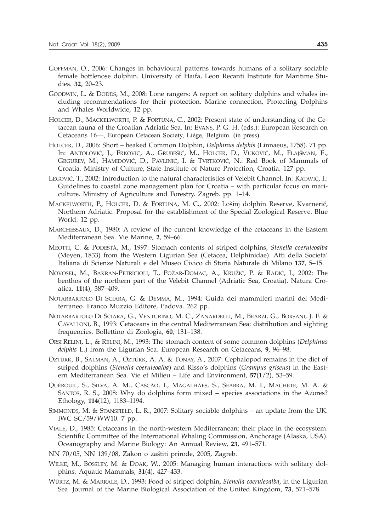- GOFFMAN, O., 2006: Changes in behavioural patterns towards humans of a solitary sociable female bottlenose dolphin. University of Haifa, Leon Recanti Institute for Maritime Studies. **32**, 20–23.
- GOODWIN, L. & DODDS, M., 2008: Lone rangers: A report on solitary dolphins and whales including recommendations for their protection. Marine connection, Protecting Dolphins and Whales Worldwide, 12 pp.
- HOLCER, D., MACKELWORTH, P. & FORTUNA, C., 2002: Present state of understanding of the Cetacean fauna of the Croatian Adriatic Sea. In: EVANS, P. G. H. (eds.): European Research on Cetaceans 16—, European Cetacean Society, Liège, Belgium. (in press)
- HOLCER, D., 2006: Short beaked Common Dolphin, *Delphinus delphis* (Linnaeus, 1758). 71 pp. In: ANTOLOVIĆ, J., FRKOVIĆ, A., GRUBEŠIĆ, M., HOLCER, D., VUKOVIĆ, M., FLAJŠMAN, E., GRGUREV, M., HAMIDOVIĆ, D., PAVLINIĆ, I. & TVRTKOVIĆ, N.: Red Book of Mammals of Croatia. Ministry of Culture, State Institute of Nature Protection, Croatia. 127 pp.
- LEGOVIĆ, T., 2002: Introduction to the natural characteristics of Velebit Channel. In: KATAVIĆ, I.: Guidelines to coastal zone management plan for Croatia – with particular focus on mariculture. Ministry of Agriculture and Forestry. Zagreb. pp. 1–14.
- MACKELWORTH, P., HOLCER, D. & FORTUNA, M. C., 2002: Lošinj dolphin Reserve, Kvarnerić, Northern Adriatic. Proposal for the establishment of the Special Zoological Reserve. Blue World. 12 pp.
- MARCHESSAUX, D., 1980: A review of the current knowledge of the cetaceans in the Eastern Mediterranean Sea. Vie Marine, **2**, 59–66.
- MEOTTI, C. & PODESTÀ, M., 1997: Stomach contents of striped dolphins, *Stenella coeruleoalba* (Meyen, 1833) from the Western Ligurian Sea (Cetacea, Delphinidae). Atti della Societa' Italiana di Scienze Naturali e del Museo Civico di Storia Naturale di Milano **137**, 5–15.
- NOVOSEL, M., BAKRAN-PETRICIOLI, T., POŽAR-DOMAC, A., KRUŽIĆ, P. & RADIĆ, I., 2002: The benthos of the northern part of the Velebit Channel (Adriatic Sea, Croatia). Natura Croatica, **11**(4), 387–409.
- NOTARBARTOLO DI SCIARA, G. & DEMMA, M., 1994: Guida dei mammiferi marini del Mediterraneo. Franco Muzzio Editore, Padova. 262 pp.
- NOTARBARTOLO DI SCIARA, G., VENTURINO, M. C., ZANARDELLI, M., BEARZI, G., BORSANI, J. F. & CAVALLONI, B., 1993: Cetaceans in the central Mediterranean Sea: distribution and sighting frequencies. Bollettino di Zoologia, **60**, 131–138.
- ORSI RELINI, L., & RELINI, M., 1993: The stomach content of some common dolphins (*Delphinus delphis* L.) from the Ligurian Sea. European Research on Cetaceans, **9**, 96–98.
- ÖZTÜRK, B., SALMAN, A., ÖZTÜRK, A. A. & TONAY, A., 2007: Cephalopod remains in the diet of striped dolphins (*Stenella coeruleoalba*) and Risso's dolphins (*Grampus griseus*) in the Eastern Mediterranean Sea. Vie et Milieu – Life and Environment, **57**(1/2), 53–59.
- QUÉROUIL, S., SILVA, A. M., CASCÃO, I., MAGALHÃES, S., SEABRA, M. I., MACHETE, M. A. & SANTOS, R. S., 2008: Why do dolphins form mixed – species associations in the Azores? Ethology, **114**(12), 1183–1194.
- SIMMONDS, M. & STANSFIELD, L. R., 2007: Solitary sociable dolphins an update from the UK. IWC SC/59/WW10. 7 pp.
- VIALE, D., 1985: Cetaceans in the north-western Mediterranean: their place in the ecosystem. Scientific Committee of the International Whaling Commission, Anchorage (Alaska, USA). Oceanography and Marine Biology: An Annual Review, **23**, 491–571.
- NN 70/05, NN 139/08, Zakon o zaštiti prirode, 2005, Zagreb.
- WILKE, M., BOSSLEY, M. & DOAK, W., 2005: Managing human interactions with solitary dolphins. Aquatic Mammals, **31**(4), 427–433.
- WÜRTZ, M. & MARRALE, D., 1993: Food of striped dolphin, *Stenella coeruleoalba*, in the Ligurian Sea. Journal of the Marine Biological Association of the United Kingdom, **73**, 571–578.